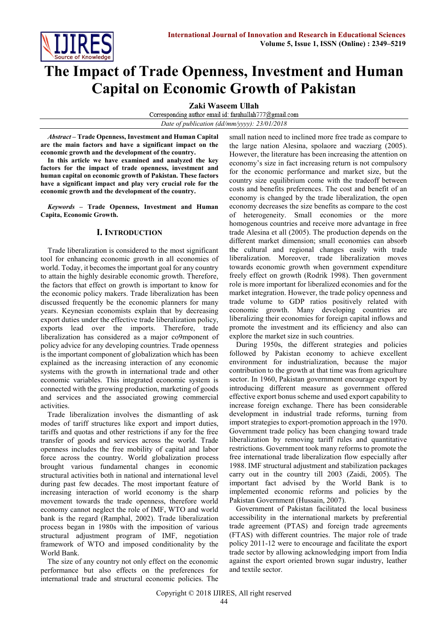

# **The Impact of Trade Openness, Investment and Human Capital on Economic Growth of Pakistan**

**Zaki Waseem Ullah**<br>Corresponding author email id: farahullah<sup>777</sup>@gmail.com *Date of publication (dd/mm/yyyy): 23/01/2018*

*Abstract* **– Trade Openness, Investment and Human Capital are the main factors and have a significant impact on the economic growth and the development of the country.**

**In this article we have examined and analyzed the key factors for the impact of trade openness, investment and human capital on economic growth of Pakistan. These factors have a significant impact and play very crucial role for the economic growth and the development of the country.**

*Keywords* **– Trade Openness, Investment and Human Capita, Economic Growth.**

## **I. INTRODUCTION**

Trade liberalization is considered to the most significant tool for enhancing economic growth in all economies of world. Today, it becomes the important goal for any country to attain the highly desirable economic growth. Therefore, the factors that effect on growth is important to know for the economic policy makers. Trade liberalization has been discussed frequently be the economic planners for many years. Keynesian economists explain that by decreasing export duties under the effective trade liberalization policy, exports lead over the imports. Therefore, trade liberalization has considered as a major co9mponent of policy advice for any developing countries. Trade openness is the important component of globalization which has been explained as the increasing interaction of any economic systems with the growth in international trade and other economic variables. This integrated economic system is connected with the growing production, marketing of goods and services and the associated growing commercial activities.

Trade liberalization involves the dismantling of ask modes of tariff structures like export and import duties, tariffs and quotas and other restrictions if any for the free transfer of goods and services across the world. Trade openness includes the free mobility of capital and labor force across the country. World globalization process brought various fundamental changes in economic structural activities both in national and international level during past few decades. The most important feature of increasing interaction of world economy is the sharp movement towards the trade openness, therefore world economy cannot neglect the role of IMF, WTO and world bank is the regard (Ramphal, 2002). Trade liberalization process began in 1980s with the imposition of various structural adjustment program of IMF, negotiation framework of WTO and imposed conditionality by the World Bank.

The size of any country not only effect on the economic performance but also effects on the preferences for international trade and structural economic policies. The small nation need to inclined more free trade as compare to the large nation Alesina, spolaore and wacziarg (2005). However, the literature has been increasing the attention on economy's size in fact increasing return is not compulsory for the economic performance and market size, but the country size equilibrium come with the tradeoff between costs and benefits preferences. The cost and benefit of an economy is changed by the trade liberalization, the open economy decreases the size benefits as compare to the cost of heterogeneity. Small economies or the more homogenous countries and receive more advantage in free trade Alesina et all (2005). The production depends on the different market dimension; small economies can absorb the cultural and regional changes easily with trade liberalization. Moreover, trade liberalization moves towards economic growth when government expenditure freely effect on growth (Rodrik 1998). Then government role is more important for liberalized economies and for the market integration. However, the trade policy openness and trade volume to GDP ratios positively related with economic growth. Many developing countries are liberalizing their economies for foreign capital inflows and promote the investment and its efficiency and also can explore the market size in such countries.

During 1950s, the different strategies and policies followed by Pakistan economy to achieve excellent environment for industrialization, because the major contribution to the growth at that time was from agriculture sector. In 1960, Pakistan government encourage export by introducing different measure as government offered effective export bonus scheme and used export capability to increase foreign exchange. There has been considerable development in industrial trade reforms, turning from import strategies to export-promotion approach in the 1970. Government trade policy has been changing toward trade liberalization by removing tariff rules and quantitative restrictions. Government took many reforms to promote the free international trade liberalization flow especially after 1988. IMF structural adjustment and stabilization packages carry out in the country till 2003 (Zaidi, 2005). The important fact advised by the World Bank is to implemented economic reforms and policies by the Pakistan Government (Hussain, 2007).

Government of Pakistan facilitated the local business accessibility in the international markets by preferential trade agreement (PTAS) and foreign trade agreements (FTAS) with different countries. The major role of trade policy 2011-12 were to encourage and facilitate the export trade sector by allowing acknowledging import from India against the export oriented brown sugar industry, leather and textile sector.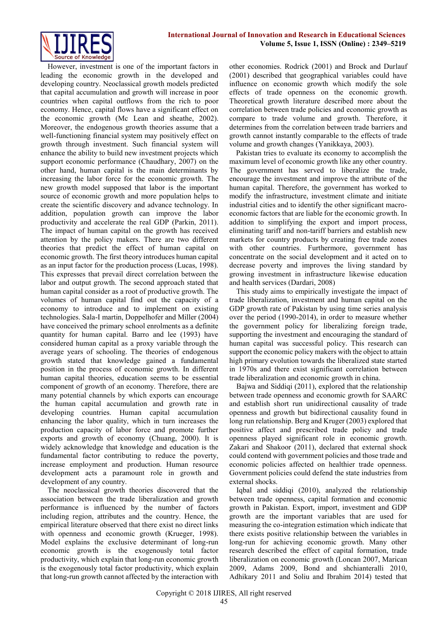

However, investment is one of the important factors in leading the economic growth in the developed and developing country. Neoclassical growth models predicted that capital accumulation and growth will increase in poor countries when capital outflows from the rich to poor economy. Hence, capital flows have a significant effect on the economic growth (Mc Lean and sheathe, 2002). Moreover, the endogenous growth theories assume that a well-functioning financial system may positively effect on growth through investment. Such financial system will enhance the ability to build new investment projects which support economic performance (Chaudhary, 2007) on the other hand, human capital is the main determinants by increasing the labor force for the economic growth. The new growth model supposed that labor is the important source of economic growth and more population helps to create the scientific discovery and advance technology. In addition, population growth can improve the labor productivity and accelerate the real GDP (Parkin, 2011). The impact of human capital on the growth has received attention by the policy makers. There are two different theories that predict the effect of human capital on economic growth. The first theory introduces human capital as an input factor for the production process (Lucas, 1998). This expresses that prevail direct correlation between the labor and output growth. The second approach stated that human capital consider as a root of productive growth. The volumes of human capital find out the capacity of a economy to introduce and to implement on existing technologies. Sala-I martin, Doppelhofer and Miller (2004) have conceived the primary school enrolments as a definite quantity for human capital. Barro and lee (1993) have considered human capital as a proxy variable through the average years of schooling. The theories of endogenous growth stated that knowledge gained a fundamental position in the process of economic growth. In different human capital theories, education seems to be essential component of growth of an economy. Therefore, there are many potential channels by which exports can encourage the human capital accumulation and growth rate in developing countries. Human capital accumulation enhancing the labor quality, which in turn increases the production capacity of labor force and promote further exports and growth of economy (Chuang, 2000). It is widely acknowledge that knowledge and education is the fundamental factor contributing to reduce the poverty, increase employment and production. Human resource development acts a paramount role in growth and development of any country.

The neoclassical growth theories discovered that the association between the trade liberalization and growth performance is influenced by the number of factors including region, attributes and the country. Hence, the empirical literature observed that there exist no direct links with openness and economic growth (Krueger, 1998). Model explains the exclusive determinant of long-run economic growth is the exogenously total factor productivity, which explain that long-run economic growth is the exogenously total factor productivity, which explain that long-run growth cannot affected by the interaction with

other economies. Rodrick (2001) and Brock and Durlauf (2001) described that geographical variables could have influence on economic growth which modify the sole effects of trade openness on the economic growth. Theoretical growth literature described more about the correlation between trade policies and economic growth as compare to trade volume and growth. Therefore, it determines from the correlation between trade barriers and growth cannot instantly comparable to the effects of trade volume and growth changes (Yanikkaya, 2003).

Pakistan tries to evaluate its economy to accomplish the maximum level of economic growth like any other country. The government has served to liberalize the trade, encourage the investment and improve the attribute of the human capital. Therefore, the government has worked to modify the infrastructure, investment climate and initiate industrial cities and to identify the other significant macroeconomic factors that are liable for the economic growth. In addition to simplifying the export and import process, eliminating tariff and non-tariff barriers and establish new markets for country products by creating free trade zones with other countries. Furthermore, government has concentrate on the social development and it acted on to decrease poverty and improves the living standard by growing investment in infrastructure likewise education and health services (Dardari, 2008)

This study aims to empirically investigate the impact of trade liberalization, investment and human capital on the GDP growth rate of Pakistan by using time series analysis over the period (1990-2014), in order to measure whether the government policy for liberalizing foreign trade, supporting the investment and encouraging the standard of human capital was successful policy. This research can support the economic policy makers with the object to attain high primary evolution towards the liberalized state started in 1970s and there exist significant correlation between trade liberalization and economic growth in china.

Bajwa and Siddiqi (2011), explored that the relationship between trade openness and economic growth for SAARC and establish short run unidirectional causality of trade openness and growth but bidirectional causality found in long run relationship. Berg and Kruger (2003) explored that positive affect and prescribed trade policy and trade openness played significant role in economic growth. Zakari and Shakoor (2011), declared that external shock could contend with government policies and those trade and economic policies affected on healthier trade openness. Government policies could defend the state industries from external shocks.

Iqbal and siddiqi (2010), analyzed the relationship between trade openness, capital formation and economic growth in Pakistan. Export, import, investment and GDP growth are the important variables that are used for measuring the co-integration estimation which indicate that there exists positive relationship between the variables in long-run for achieving economic growth. Many other research described the effect of capital formation, trade liberalization on economic growth (Loncan 2007, Marican 2009, Adams 2009, Bond and shchianteralli 2010, Adhikary 2011 and Soliu and Ibrahim 2014) tested that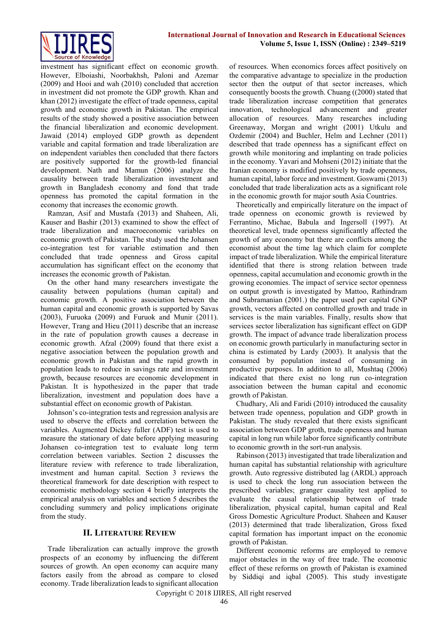

investment has significant effect on economic growth. However, Elboiashi, Noorbakhsh, Paloni and Azemar (2009) and Hooi and wah (2010) concluded that accretion in investment did not promote the GDP growth. Khan and khan (2012) investigate the effect of trade openness, capital growth and economic growth in Pakistan. The empirical results of the study showed a positive association between the financial liberalization and economic development. Jawaid (2014) employed GDP growth as dependent variable and capital formation and trade liberalization are on independent variables then concluded that there factors are positively supported for the growth-led financial development. Nath and Mamun (2006) analyze the causality between trade liberalization investment and growth in Bangladesh economy and fond that trade openness has promoted the capital formation in the economy that increases the economic growth.

Ramzan, Asif and Mustafa (2013) and Shaheen, Ali, Kauser and Bashir (2013) examined to show the effect of trade liberalization and macroeconomic variables on economic growth of Pakistan. The study used the Johansen co-integration test for variable estimation and then concluded that trade openness and Gross capital accumulation has significant effect on the economy that increases the economic growth of Pakistan.

On the other hand many researchers investigate the causality between populations (human capital) and economic growth. A positive association between the human capital and economic growth is supported by Savas (2003), Furuoka (2009) and Furuok and Munir (2011). However, Trang and Hieu (2011) describe that an increase in the rate of population growth causes a decrease in economic growth. Afzal (2009) found that there exist a negative association between the population growth and economic growth in Pakistan and the rapid growth in population leads to reduce in savings rate and investment growth, because resources are economic development in Pakistan. It is hypothesized in the paper that trade liberalization, investment and population does have a substantial effect on economic growth of Pakistan.

Johnson's co-integration tests and regression analysis are used to observe the effects and correlation between the variables. Augmented Dickey fuller (ADF) test is used to measure the stationary of date before applying measuring Johansen co-integration test to evaluate long term correlation between variables. Section 2 discusses the literature review with reference to trade liberalization, investment and human capital. Section 3 reviews the theoretical framework for date description with respect to economistic methodology section 4 briefly interprets the empirical analysis on variables and section 5 describes the concluding summery and policy implications originate from the study.

## **II. LITERATURE REVIEW**

Trade liberalization can actually improve the growth prospects of an economy by influencing the different sources of growth. An open economy can acquire many factors easily from the abroad as compare to closed economy. Trade liberalization leads to significant allocation of resources. When economics forces affect positively on the comparative advantage to specialize in the production sector then the output of that sector increases, which consequently boosts the growth. Chuang ((2000) stated that trade liberalization increase competition that generates innovation, technological advancement and greater allocation of resources. Many researches including Greenaway, Morgan and wright (2001) Utkulu and Ozdemir (2004) and Buchler, Helm and Lechner (2011) described that trade openness has a significant effect on growth while monitoring and implanting on trade policies in the economy. Yavari and Mohseni (2012) initiate that the Iranian economy is modified positively by trade openness, human capital, labor force and investment. Goswami (2013) concluded that trade liberalization acts as a significant role in the economic growth for major south Asia Countries.

Theoretically and empirically literature on the impact of trade openness on economic growth is reviewed by Ferrantino, Michae, Babula and Ingersoll (1997). At theoretical level, trade openness significantly affected the growth of any economy but there are conflicts among the economist about the time lag which claim for complete impact of trade liberalization. While the empirical literature identified that there is strong relation between trade openness, capital accumulation and economic growth in the growing economies. The impact of service sector openness on output growth is investigated by Mattoo, Rathindram and Subramanian (2001.) the paper used per capital GNP growth, vectors affected on controlled growth and trade in services is the main variables. Finally, results show that services sector liberalization has significant effect on GDP growth. The impact of advance trade liberalization process on economic growth particularly in manufacturing sector in china is estimated by Lardy (2003). It analysis that the consumed by population instead of consuming in productive purposes. In addition to all, Mushtaq (2006) indicated that there exist no long run co-integration association between the human capital and economic growth of Pakistan.

Chudhary, Ali and Faridi (2010) introduced the causality between trade openness, population and GDP growth in Pakistan. The study revealed that there exists significant association between GDP groth, trade openness and human capital in long run while labor force significantly contribute to economic growth in the sort-run analysis.

Rabinson (2013) investigated that trade liberalization and human capital has substantial relationship with agriculture growth. Auto regressive distributed lag (ARDL) approach is used to check the long run association between the prescribed variables; granger causality test applied to evaluate the causal relationship between of trade liberalization, physical capital, human capital and Real Gross Domestic Agriculture Product. Shaheen and Kauser (2013) determined that trade liberalization, Gross fixed capital formation has important impact on the economic growth of Pakistan.

Different economic reforms are employed to remove major obstacles in the way of free trade. The economic effect of these reforms on growth of Pakistan is examined by Siddiqi and iqbal (2005). This study investigate

Copyright © 2018 IJIRES, All right reserved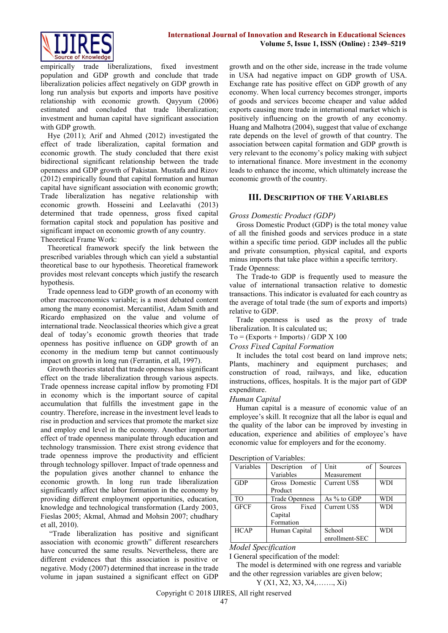

empirically trade liberalizations, fixed investment population and GDP growth and conclude that trade liberalization policies affect negatively on GDP growth in long run analysis but exports and imports have positive relationship with economic growth. Qayyum (2006) estimated and concluded that trade liberalization; investment and human capital have significant association with GDP growth.

Hye (2011); Arif and Ahmed (2012) investigated the effect of trade liberalization, capital formation and economic growth. The study concluded that there exist bidirectional significant relationship between the trade openness and GDP growth of Pakistan. Mustafa and Rizov (2012) empirically found that capital formation and human capital have significant association with economic growth; Trade liberalization has negative relationship with economic growth. Hosseini and Leelavathi (2013) determined that trade openness, gross fixed capital formation capital stock and population has positive and significant impact on economic growth of any country. Theoretical Frame Work:

Theoretical framework specify the link between the prescribed variables through which can yield a substantial theoretical base to our hypothesis. Theoretical framework provides most relevant concepts which justify the research hypothesis.

Trade openness lead to GDP growth of an economy with other macroeconomics variable; is a most debated content among the many economist. Mercantilist, Adam Smith and Ricardo emphasized on the value and volume of international trade. Neoclassical theories which give a great deal of today's economic growth theories that trade openness has positive influence on GDP growth of an economy in the medium temp but cannot continuously impact on growth in long run (Ferrantin, et all, 1997).

Growth theories stated that trade openness has significant effect on the trade liberalization through various aspects. Trade openness increase capital inflow by promoting FDI in economy which is the important source of capital accumulation that fulfills the investment gape in the country. Therefore, increase in the investment level leads to rise in production and services that promote the market size and employ end level in the economy. Another important effect of trade openness manipulate through education and technology transmission. There exist strong evidence that trade openness improve the productivity and efficient through technology spillover. Impact of trade openness and the population gives another channel to enhance the economic growth. In long run trade liberalization significantly affect the labor formation in the economy by providing different employment opportunities, education, knowledge and technological transformation (Lardy 2003, Fieslas 2005; Akmal, Ahmad and Mohsin 2007; chudhary et all, 2010).

"Trade liberalization has positive and significant association with economic growth" different researchers have concurred the same results. Nevertheless, there are different evidences that this association is positive or negative. Mody (2007) determined that increase in the trade volume in japan sustained a significant effect on GDP

growth and on the other side, increase in the trade volume in USA had negative impact on GDP growth of USA. Exchange rate has positive effect on GDP growth of any economy. When local currency becomes stronger, imports of goods and services become cheaper and value added exports causing more trade in international market which is positively influencing on the growth of any economy. Huang and Malhotra (2004), suggest that value of exchange rate depends on the level of growth of that country. The association between capital formation and GDP growth is very relevant to the economy's policy making with subject to international finance. More investment in the economy leads to enhance the income, which ultimately increase the economic growth of the country.

## **III. DESCRIPTION OF THE VARIABLES**

## *Gross Domestic Product (GDP)*

Gross Domestic Product (GDP) is the total money value of all the finished goods and services produce in a state within a specific time period. GDP includes all the public and private consumption, physical capital, and exports minus imports that take place within a specific territory.

Trade Openness:

The Trade-to GDP is frequently used to measure the value of international transaction relative to domestic transactions. This indicator is evaluated for each country as the average of total trade (the sum of exports and imports) relative to GDP.

Trade openness is used as the proxy of trade liberalization. It is calculated us;

 $To = (Express + \text{Imports}) / GDP X 100$ 

#### *Cross Fixed Capital Formation*

It includes the total cost beard on land improve nets; Plants, machinery and equipment purchases; and construction of road, railways, and like, education instructions, offices, hospitals. It is the major part of GDP expenditure.

#### *Human Capital*

Human capital is a measure of economic value of an employee's skill. It recognize that all the labor is equal and the quality of the labor can be improved by investing in education, experience and abilities of employee's have economic value for employers and for the economy.

| Variables      | of<br>Description     | Unit<br>of     | Sources    |  |
|----------------|-----------------------|----------------|------------|--|
|                | Variables             | Measurement    |            |  |
| <b>GDP</b>     | Gross Domestic        | Current US\$   | <b>WDI</b> |  |
|                | Product               |                |            |  |
| T <sub>O</sub> | <b>Trade Openness</b> | As % to GDP    | WDI        |  |
| <b>GFCF</b>    | Fixed<br>Gross        | Current US\$   | <b>WDI</b> |  |
|                | Capital               |                |            |  |
|                | Formation             |                |            |  |
| <b>HCAP</b>    | Human Capital         | School         | <b>WDI</b> |  |
|                |                       | enrollment-SEC |            |  |

#### *Model Specification*

I General specification of the model:

The model is determined with one regress and variable and the other regression variables are given below;

Y (X1, X2, X3, X4,……., Xi)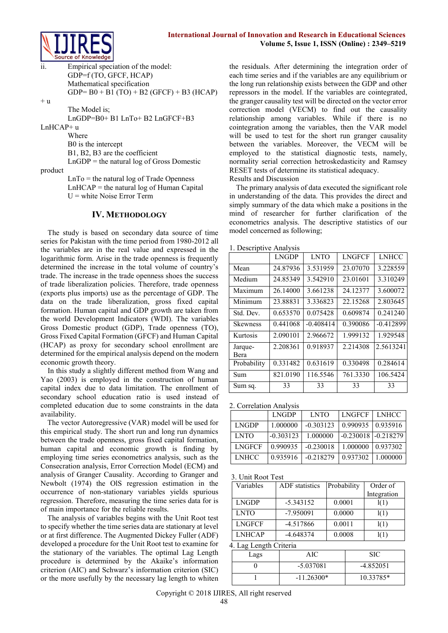

ii. Empirical speciation of the model: GDP=f (TO, GFCF, HCAP) Mathematical specification  $GDP = B0 + B1 (TO) + B2 (GFCF) + B3 (HCAP)$ 

 $+u$ 

The Model is;

LnGDP=B0+ B1 LnTo+ B2 LnGFCF+B3

LnHCAP+ u

Where B0 is the intercept B1, B2, B3 are the coefficient  $LnGDP =$  the natural log of Gross Domestic

product

 $LnTo =$  the natural log of Trade Openness  $LnHCAP =$  the natural log of Human Capital  $U =$  white Noise Error Term

## **IV. METHODOLOGY**

The study is based on secondary data source of time series for Pakistan with the time period from 1980-2012 all the variables are in the real value and expressed in the logarithmic form. Arise in the trade openness is frequently determined the increase in the total volume of country's trade. The increase in the trade openness shoes the success of trade liberalization policies. Therefore, trade openness (exports plus imports) use as the percentage of GDP. The data on the trade liberalization, gross fixed capital formation. Human capital and GDP growth are taken from the world Development Indicators (WDI). The variables Gross Domestic product (GDP), Trade openness (TO), Gross Fixed Capital Formation (GFCF) and Human Capital (HCAP) as proxy for secondary school enrollment are determined for the empirical analysis depend on the modern economic growth theory.

In this study a slightly different method from Wang and Yao (2003) is employed in the construction of human capital index due to data limitation. The enrollment of secondary school education ratio is used instead of completed education due to some constraints in the data availability.

The vector Autoregressive (VAR) model will be used for this empirical study. The short run and long run dynamics between the trade openness, gross fixed capital formation, human capital and economic growth is finding by employing time series econometrics analysis, such as the Consecration analysis, Error Correction Model (ECM) and analysis of Granger Causality. According to Granger and Newbolt (1974) the OlS regression estimation in the occurrence of non-stationary variables yields spurious regression. Therefore, measuring the time series data for is of main importance for the reliable results.

The analysis of variables begins with the Unit Root test to specify whether the time series data are stationary at level or at first difference. The Augmented Dickey Fuller (ADF) developed a procedure for the Unit Root test to examine for the stationary of the variables. The optimal Lag Length procedure is determined by the Akaike's information criterion (AIC) and Schwarz's information criterion (SIC) or the more usefully by the necessary lag length to whiten

the residuals. After determining the integration order of each time series and if the variables are any equilibrium or the long run relationship exists between the GDP and other repressors in the model. If the variables are cointegrated, the granger causality test will be directed on the vector error correction model (VECM) to find out the causality relationship among variables. While if there is no cointegration among the variables, then the VAR model will be used to test for the short run granger causality between the variables. Moreover, the VECM will be employed to the statistical diagnostic tests, namely, normality serial correction hetroskedasticity and Ramsey RESET tests of determine its statistical adequacy. Results and Discussion

The primary analysis of data executed the significant role in understanding of the data. This provides the direct and simply summary of the data which make a positions in the mind of researcher for further clarification of the econometrics analysis. The descriptive statistics of our model concerned as following;

| 1. Descriptive Analysis |              |             |               |              |  |
|-------------------------|--------------|-------------|---------------|--------------|--|
|                         | <b>LNGDP</b> | <b>LNTO</b> | <b>LNGFCF</b> | <b>LNHCC</b> |  |
| Mean                    | 24.87936     | 3.531959    | 23.07070      | 3.228559     |  |
| Medium                  | 24.85349     | 3.542910    | 23.01601      | 3.310249     |  |
| Maximum                 | 26.14000     | 3.661238    | 24.12377      | 3.600072     |  |
| Minimum                 | 23.88831     | 3.336823    | 22.15268      | 2.803645     |  |
| Std. Dev.               | 0.653570     | 0.075428    | 0.609874      | 0.241240     |  |
| <b>Skewness</b>         | 0.441068     | $-0.408414$ | 0.390086      | $-0.412899$  |  |
| Kurtosis                | 2.090101     | 2.966672    | 1.999132      | 1.929548     |  |
| Jarque-<br>Bera         | 2.208361     | 0.918937    | 2.214308      | 2.5613241    |  |
| Probability             | 0.331482     | 0.631619    | 0.330498      | 0.284614     |  |
| Sum                     | 821.0190     | 116.5546    | 761.3330      | 106.5424     |  |
| Sum sq.                 | 33           | 33          | 33            | 33           |  |

2. Correlation Analysis

|               | <b>LNGDP</b> | <b>LNTO</b> | <b>LNGFCF</b>           | <b>LNHCC</b> |
|---------------|--------------|-------------|-------------------------|--------------|
| <b>LNGDP</b>  | 1.000000     | $-0.303123$ | 0.990935                | 0 935916     |
| <b>LNTO</b>   | $-0.303123$  | 1.000000    | $-0.230018$ $-0.218279$ |              |
| <b>LNGFCF</b> | 0.990935     | $-0.230018$ | 1.000000                | 0.937302     |
| <b>LNHCC</b>  | 0.935916     | $-0.218279$ | 0.937302                | 1 000000     |

3. Unit Root Test

| Variables     | <b>ADF</b> statistics | Probability | Order of    |
|---------------|-----------------------|-------------|-------------|
|               |                       |             | Integration |
| <b>LNGDP</b>  | $-5.343152$           | 0.0001      | l(1)        |
| <b>LNTO</b>   | $-7.950091$           | 0.0000      | 1(1)        |
| <b>LNGFCF</b> | -4.517866             | 0.0011      | 1(1)        |
| <b>LNHCAP</b> | $-4.648374$           | 0.0008      | '(1.        |

4. Lag Length Criteria

| Lags | AIC          | SIC         |
|------|--------------|-------------|
|      | $-5.037081$  | $-4.852051$ |
|      | $-11.26300*$ | 10.33785*   |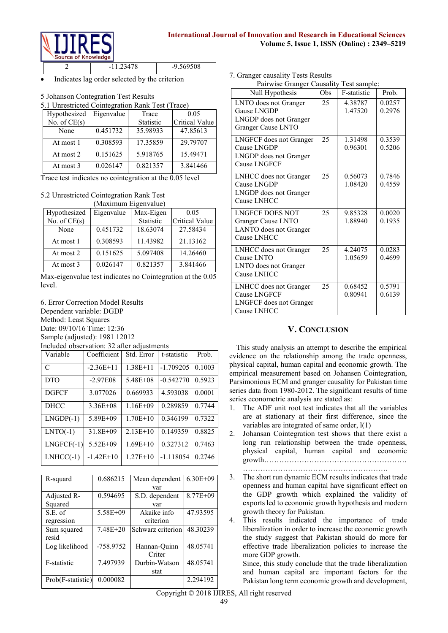

|  | 9.569508 |
|--|----------|
|  |          |

Indicates lag order selected by the criterion

#### 5 Johanson Contegration Test Results

5.1 Unrestricted Cointegration Rank Test (Trace)

| Hypothesized   | Eigenvalue | Trace            | 0.05           |
|----------------|------------|------------------|----------------|
| No. of $CE(s)$ |            | <b>Statistic</b> | Critical Value |
| None           | 0.451732   | 35.98933         | 47.85613       |
| At most 1      | 0.308593   | 17.35859         | 29.79707       |
| At most 2      | 0.151625   | 5.918765         | 15.49471       |
| At most 3      | 0.026147   | 0.821357         | 3.841466       |

Trace test indicates no cointegration at the 0.05 level

## 5.2 Unrestricted Cointegration Rank Test

| (Maximum Eigenvalue) |            |           |                |  |
|----------------------|------------|-----------|----------------|--|
| Hypothesized         | Eigenvalue | Max-Eigen | 0.05           |  |
| No. of $CE(s)$       |            | Statistic | Critical Value |  |
| None                 | 0.451732   | 18.63074  | 27.58434       |  |
| At most 1            | 0.308593   | 11.43982  | 21.13162       |  |
| At most 2            | 0.151625   | 5.097408  | 14.26460       |  |
| At most 3            | 0.026147   | 0.821357  | 3.841466       |  |

Max-eigenvalue test indicates no Cointegration at the 0.05 level.

6. Error Correction Model Results Dependent variable: DGDP Method: Least Squares Date: 09/10/16 Time: 12:36 Sample (adjusted): 1981 12012 Included observation: 32 after adjustments

| Variable      | Coefficient  | Std. Error   | t-statistic | Prob.  |
|---------------|--------------|--------------|-------------|--------|
| $\mathcal{C}$ | $-2.36E+11$  | $1.38E + 11$ | $-1.709205$ | 0.1003 |
| <b>DTO</b>    | $-2.97E08$   | $5.48E + 08$ | $-0.542770$ | 0.5923 |
| <b>DGFCF</b>  | 3.077026     | 0.669933     | 4.593038    | 0.0001 |
| DHCC          | $3.36E + 08$ | $1.16E + 09$ | 0.289859    | 0.7744 |
| $LNGDP(-1)$   | $5.89E + 09$ | $1.70E + 10$ | 0.346199    | 0.7322 |
| $LNTO(-1)$    | $31.8E + 09$ | $2.13E+10$   | 0.149359    | 0.8825 |
| $LNGFCF(-1)$  | $5.52E + 09$ | $1.69E+10$   | 0.327312    | 0.7463 |
| $LNHCC(-1)$   | $-1.42E+10$  | $1.27E+10$   | $-1.118054$ | 0.2746 |

| R-squard          | 0.686215     | Mean dependent    | $6.30E + 09$ |
|-------------------|--------------|-------------------|--------------|
|                   |              | var               |              |
| Adjusted R-       | 0.594695     | S.D. dependent    | $8.77E + 09$ |
| Squared           |              | var               |              |
| S.E. of           | 5.58E+09     | Akaike info       | 47.93595     |
| regression        |              | criterion         |              |
| Sum squared       | $7.48E + 20$ | Schwarz criterion | 48.30239     |
| resid             |              |                   |              |
| Log likelihood    | -758.9752    | Hannan-Quinn      | 48.05741     |
|                   |              | Criter            |              |
| F-statistic       | 7.497939     | Durbin-Watson     | 48.05741     |
|                   |              | stat              |              |
| Prob(F-statistic) | 0.000082     |                   | 2.294192     |
|                   |              |                   |              |

7. Granger causality Tests Results

| $\sim$ Oranger causality Tests results  |  |
|-----------------------------------------|--|
| Pairwise Granger Causality Test sample: |  |

| Null Hypothesis                                                                             | Obs             | F-statistic        | Prob.            |
|---------------------------------------------------------------------------------------------|-----------------|--------------------|------------------|
| LNTO does not Granger<br>Gause LNGDP<br>LNGDP does not Granger<br><b>Granger Cause LNTO</b> | 25              | 4.38787<br>1.47520 | 0.0257<br>0.2976 |
| <b>LNGFCF</b> does not Granger<br>Cause LNGDP<br>LNGDP does not Granger<br>Cause LNGFCF     | 25              | 1.31498<br>0.96301 | 0.3539<br>0.5206 |
| LNHCC does not Granger<br>Cause LNGDP<br>LNGDP does not Granger<br>Cause LNHCC              | 25              | 0.56073<br>1.08420 | 0.7846<br>0.4559 |
| <b>LNGFCF DOES NOT</b><br>Granger Cause LNTO<br>LANTO does not Granger<br>Cause LNHCC       | 25              | 9.85328<br>1.88940 | 0.0020<br>0.1935 |
| LNHCC does not Granger<br>Cause LNTO<br>LNTO does not Granger<br>Cause LNHCC                | 25              | 4.24075<br>1.05659 | 0.0283<br>0.4699 |
| LNHCC does not Granger<br>Cause LNGFCF<br>LNGFCF does not Granger<br>Cause LNHCC            | $\overline{25}$ | 0.68452<br>0.80941 | 0.5791<br>0.6139 |

## **V. CONCLUSION**

This study analysis an attempt to describe the empirical evidence on the relationship among the trade openness, physical capital, human capital and economic growth. The empirical measurement based on Johansen Cointegration, Parsimonious ECM and granger causality for Pakistan time series data from 1980-2012. The significant results of time series econometric analysis are stated as:

- 1. The ADF unit root test indicates that all the variables are at stationary at their first difference, since the variables are integrated of same order, l(1)
- 2. Johansan Cointegration test shows that there exist a long run relationship between the trade openness, physical capital, human capital and economic growth………………………………………………… ………………………………………………….
- 3. The short run dynamic ECM results indicates that trade openness and human capital have significant effect on the GDP growth which explained the validity of exports led to economic growth hypothesis and modern growth theory for Pakistan.
- 4. This results indicated the importance of trade liberalization in order to increase the economic growth the study suggest that Pakistan should do more for effective trade liberalization policies to increase the more GDP growth.

Since, this study conclude that the trade liberalization and human capital are important factors for the Pakistan long term economic growth and development,

Copyright © 2018 IJIRES, All right reserved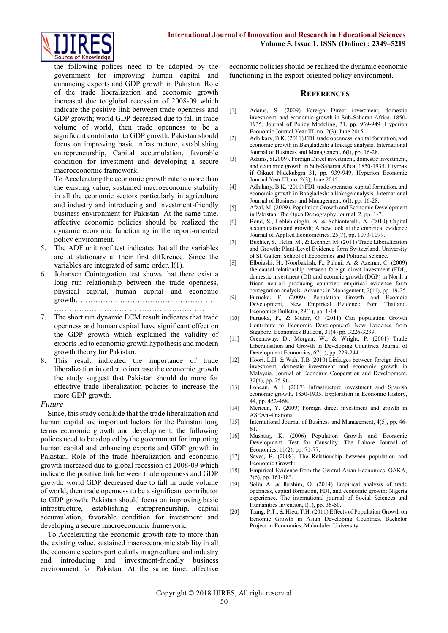

the following polices need to be adopted by the government for improving human capital and enhancing exports and GDP growth in Pakistan. Role of the trade liberalization and economic growth increased due to global recession of 2008-09 which indicate the positive link between trade openness and GDP growth; world GDP decreased due to fall in trade volume of world, then trade openness to be a significant contributor to GDP growth. Pakistan should focus on improving basic infrastructure, establishing entrepreneurship, Capital accumulation, favorable condition for investment and developing a secure macroeconomic framework.

To Accelerating the economic growth rate to more than the existing value, sustained macroeconomic stability in all the economic sectors particularly in agriculture and industry and introducing and investment-friendly business environment for Pakistan. At the same time, affective economic policies should be realized the dynamic economic functioning in the report-oriented policy environment.

- The ADF unit roof test indicates that all the variables are at stationary at their first difference. Since the variables are integrated of same order, l(1).
- 6. Johansen Cointegration test shows that there exist a long run relationship between the trade openness, physical capital, human capital and economic growth……………….………………………………

……………………………………………………

- 7. The short run dynamic ECM result indicates that trade openness and human capital have significant effect on the GDP growth which explained the validity of exports led to economic growth hypothesis and modern growth theory for Pakistan.
- This result indicated the importance of trade liberalization in order to increase the economic growth the study suggest that Pakistan should do more for effective trade liberalization policies to increase the more GDP growth.

#### *Future*

Since, this study conclude that the trade liberalization and human capital are important factors for the Pakistan long terms economic growth and development, the following polices need to be adopted by the government for importing human capital and enhancing exports and GDP growth in Pakistan. Role of the trade liberalization and economic growth increased due to global recession of 2008-09 which indicate the positive link between trade openness and GDP growth; world GDP decreased due to fall in trade volume of world, then trade openness to be a significant contributor to GDP growth. Pakistan should focus on improving basic infrastructure, establishing entrepreneurship, capital accumulation, favorable condition for investment and developing a secure macroeconomic framework.

To Accelerating the economic growth rate to more than the existing value, sustained macroeconomic stability in all the economic sectors particularly in agriculture and industry and introducing and investment-friendly business environment for Pakistan. At the same time, affective economic policies should be realized the dynamic economic functioning in the export-oriented policy environment.

#### **REFERENCES**

- [1] Adams, S. (2009) Foreign Direct investment, domestic investment, and economic growth in Sub-Saharan Africa, 1850- 1935. Journal of Policy Modeling, 31, pp. 939-949. Hyperion Economic Journal Year III, no. 2(3), June 2015.
- [2] Adhikary, B.K. (2011) FDI, trade openness, capital formation, and economic growth in Bangladesh: a linkage analysis. International Journal of Business and Management, 6(l), pp. 16-28.
- [3] Adams, S(2009). Foreign Direct investment, domestic investment, and economic growth in Sub-Saharan Afica, 1850-1935. Hiyrbak if Oikuct Nidekubgm 31, pp. 939-949. Hyperion Economic Journal Year III, no. 2(3), June 2015.
- [4] Adhikary, B.K. (2011) FDI, trade openness, capital formation, and economic growth in Bangladesh: a linkage analysis. International Journal of Business and Management, 6(l), pp. 16-28.
- [5] Afzal, M. (2009). Population Growth and Economic Development in Pakistan. The Open Demography Journal, 2, pp. 1-7.
- [6] Bond, S., Leblebicioglu, A. & Schianterelli, A. (2010) Capital accumulation and growth; A new look at the empirical evidence Journal of Applied Econometrics. 25(7), pp. 1073-1099.
- [7] Buehler, S., Helm, M., & Lechner, M. (2011) Trade Liberalization and Growth: Plant-Level Evidence form Switzerland. University of St. Gallen: School of Economics and Political Science.
- [8] Elboiashi, H., Noorbakhsh, F., Paloni, A. & Azemar, C. (2009) the causal relationship between foreign direct investment (FDI), domestic investment (DI) and ecomoic growth (DGP) in North a frican non-oil producing countries: empirical evidence form contegration analysis. Advancs in Management, 2(11), pp. 19-25.
- [9] Furuoka, F. (2009). Population Growth and Ecomoic Development, New Empirical Evidence from Thailand. Economics Bulletin, 29(1), pp. 1-14
- [10] Furuoka, F., & Munir, Q. (2011) Can population Growth Contribute to Economic Development? New Evidence from Sigapore. Economics Bulletin, 31(4) pp. 3226-3239.
- [11] Greenaway, D., Morgan, W., & Wright, P. (2001) Trade Liberalisation and Growth in Developing Countries. Journal of Development Economics, 67(1), pp. 229-244.
- [12] Hoori, L.H. & Wah, T.B (2010) Linkages between foreign direct investment, domestic investment and economic growth in Malaysia. Journal of Economic Cooperation and Development, 32(4), pp. 75-96.
- [13] Loncan, A.H. (2007) Infrastructure investment and Spanish economic growth, 1850-1935. Exploration in Economic History, 44, pp. 452-468.
- [14] Merican, Y. (2009) Foreign direct investment and growth in ASEAn-4 nations.
- [15] International Journal of Business and Management, 4(5), pp. 46-61.
- [16] Mushtaq, K. (2006) Population Growth and Economic Development. Test for Causality. The Lahore Journal of Economics, 11(2), pp. 71-77.
- [17] Saves, B. (2008). The Relationship between population and Economic Growth:
- [18] Empirical Evidence from the Gentral Asian Economics. OAKA, 3(6), pp. 161-183.
- [19] Soliu A. & lbrahim, O. (2014) Empirical analysis of trade openness, capital formation, FDI, and economic growth: Nigeria experience. The international journal of Social Sciences and Humanities Invention, l(1), pp. 36-50.
- [20] Trang, P.T., & Hieu, T.H. (2011) Effects of Population Growth on Ecnomic Growth in Asian Developing Countries. Bachelor Project in Economics, Malardalen University.